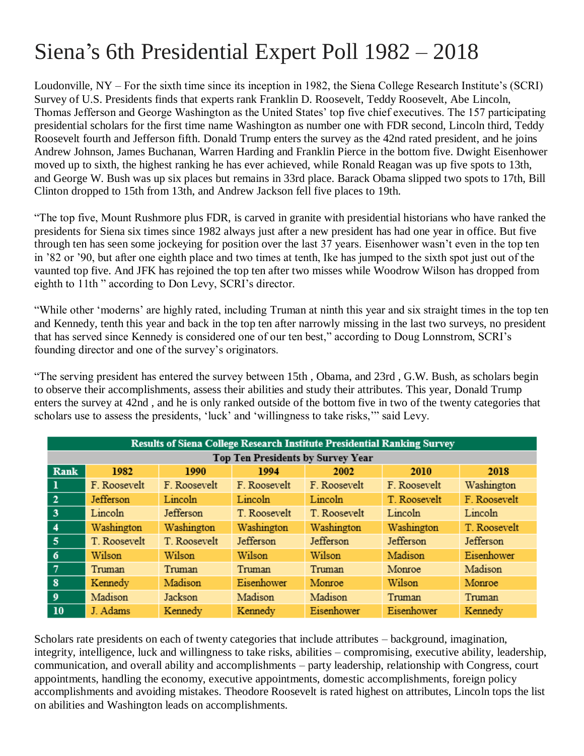## Siena's 6th Presidential Expert Poll 1982 – 2018

Loudonville, NY – For the sixth time since its inception in 1982, the Siena College Research Institute's (SCRI) Survey of U.S. Presidents finds that experts rank Franklin D. Roosevelt, Teddy Roosevelt, Abe Lincoln, Thomas Jefferson and George Washington as the United States' top five chief executives. The 157 participating presidential scholars for the first time name Washington as number one with FDR second, Lincoln third, Teddy Roosevelt fourth and Jefferson fifth. Donald Trump enters the survey as the 42nd rated president, and he joins Andrew Johnson, James Buchanan, Warren Harding and Franklin Pierce in the bottom five. Dwight Eisenhower moved up to sixth, the highest ranking he has ever achieved, while Ronald Reagan was up five spots to 13th, and George W. Bush was up six places but remains in 33rd place. Barack Obama slipped two spots to 17th, Bill Clinton dropped to 15th from 13th, and Andrew Jackson fell five places to 19th.

"The top five, Mount Rushmore plus FDR, is carved in granite with presidential historians who have ranked the presidents for Siena six times since 1982 always just after a new president has had one year in office. But five through ten has seen some jockeying for position over the last 37 years. Eisenhower wasn't even in the top ten in '82 or '90, but after one eighth place and two times at tenth, Ike has jumped to the sixth spot just out of the vaunted top five. And JFK has rejoined the top ten after two misses while Woodrow Wilson has dropped from eighth to 11th " according to Don Levy, SCRI's director.

"While other 'moderns' are highly rated, including Truman at ninth this year and six straight times in the top ten and Kennedy, tenth this year and back in the top ten after narrowly missing in the last two surveys, no president that has served since Kennedy is considered one of our ten best," according to Doug Lonnstrom, SCRI's founding director and one of the survey's originators.

"The serving president has entered the survey between 15th , Obama, and 23rd , G.W. Bush, as scholars begin to observe their accomplishments, assess their abilities and study their attributes. This year, Donald Trump enters the survey at 42nd , and he is only ranked outside of the bottom five in two of the twenty categories that scholars use to assess the presidents, 'luck' and 'willingness to take risks,'" said Levy.

| <b>Results of Siena College Research Institute Presidential Ranking Survey</b> |              |              |              |              |              |              |  |  |
|--------------------------------------------------------------------------------|--------------|--------------|--------------|--------------|--------------|--------------|--|--|
| <b>Top Ten Presidents by Survey Year</b>                                       |              |              |              |              |              |              |  |  |
| Rank                                                                           | 1982         | 1990         | 1994         | 2002         | 2010         | 2018         |  |  |
| $\mathbf{1}$                                                                   | F. Roosevelt | F. Roosevelt | F. Roosevelt | F. Roosevelt | F. Roosevelt | Washington   |  |  |
| $\overline{2}$                                                                 | Jefferson    | Lincoln      | Lincoln      | Lincoln      | T. Roosevelt | F. Roosevelt |  |  |
| 3                                                                              | Lincoln      | Jefferson    | T. Roosevelt | T. Roosevelt | Lincoln      | Lincoln      |  |  |
| $\overline{4}$                                                                 | Washington   | Washington   | Washington   | Washington   | Washington   | T. Roosevelt |  |  |
| 5                                                                              | T. Roosevelt | T. Roosevelt | Jefferson    | Jefferson    | Jefferson    | Jefferson    |  |  |
| 6                                                                              | Wilson       | Wilson       | Wilson       | Wilson       | Madison      | Eisenhower   |  |  |
| $\overline{7}$                                                                 | Truman       | Truman       | Truman       | Truman       | Monroe       | Madison      |  |  |
| $\bf{8}$                                                                       | Kennedy      | Madison      | Eisenhower   | Monroe       | Wilson       | Monroe       |  |  |
| 9                                                                              | Madison      | Jackson      | Madison      | Madison      | Truman       | Truman       |  |  |
| <b>10</b>                                                                      | J. Adams     | Kennedy      | Kennedy      | Eisenhower   | Eisenhower   | Kennedy      |  |  |

Scholars rate presidents on each of twenty categories that include attributes – background, imagination, integrity, intelligence, luck and willingness to take risks, abilities – compromising, executive ability, leadership, communication, and overall ability and accomplishments – party leadership, relationship with Congress, court appointments, handling the economy, executive appointments, domestic accomplishments, foreign policy accomplishments and avoiding mistakes. Theodore Roosevelt is rated highest on attributes, Lincoln tops the list on abilities and Washington leads on accomplishments.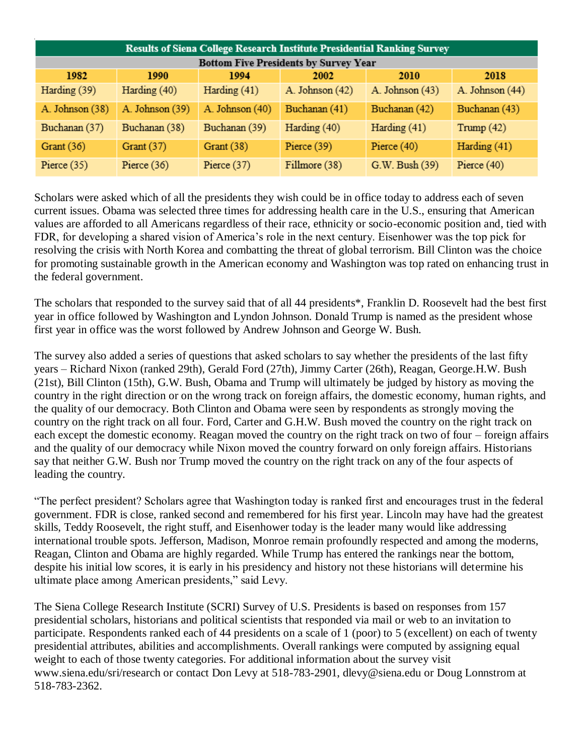| <b>Results of Siena College Research Institute Presidential Ranking Survey</b> |                 |                 |                 |                 |                 |  |  |  |
|--------------------------------------------------------------------------------|-----------------|-----------------|-----------------|-----------------|-----------------|--|--|--|
| <b>Bottom Five Presidents by Survey Year</b>                                   |                 |                 |                 |                 |                 |  |  |  |
| 1982                                                                           | 1990            | 1994            | 2002            | 2010            | 2018            |  |  |  |
| Harding (39)                                                                   | Harding (40)    | Harding (41)    | A. Johnson (42) | A. Johnson (43) | A. Johnson (44) |  |  |  |
| A. Johnson (38)                                                                | A. Johnson (39) | A. Johnson (40) | Buchanan (41)   | Buchanan (42)   | Buchanan (43)   |  |  |  |
| Buchanan (37)                                                                  | Buchanan (38)   | Buchanan (39)   | Harding (40)    | Harding (41)    | Trump $(42)$    |  |  |  |
| Grant $(36)$                                                                   | Grant $(37)$    | Grant $(38)$    | Pierce (39)     | Pierce $(40)$   | Harding (41)    |  |  |  |
| Pierce $(35)$                                                                  | Pierce $(36)$   | Pierce $(37)$   | Fillmore (38)   | G.W. Bush (39)  | Pierce $(40)$   |  |  |  |

Scholars were asked which of all the presidents they wish could be in office today to address each of seven current issues. Obama was selected three times for addressing health care in the U.S., ensuring that American values are afforded to all Americans regardless of their race, ethnicity or socio-economic position and, tied with FDR, for developing a shared vision of America's role in the next century. Eisenhower was the top pick for resolving the crisis with North Korea and combatting the threat of global terrorism. Bill Clinton was the choice for promoting sustainable growth in the American economy and Washington was top rated on enhancing trust in the federal government.

The scholars that responded to the survey said that of all 44 presidents\*, Franklin D. Roosevelt had the best first year in office followed by Washington and Lyndon Johnson. Donald Trump is named as the president whose first year in office was the worst followed by Andrew Johnson and George W. Bush.

The survey also added a series of questions that asked scholars to say whether the presidents of the last fifty years – Richard Nixon (ranked 29th), Gerald Ford (27th), Jimmy Carter (26th), Reagan, George.H.W. Bush (21st), Bill Clinton (15th), G.W. Bush, Obama and Trump will ultimately be judged by history as moving the country in the right direction or on the wrong track on foreign affairs, the domestic economy, human rights, and the quality of our democracy. Both Clinton and Obama were seen by respondents as strongly moving the country on the right track on all four. Ford, Carter and G.H.W. Bush moved the country on the right track on each except the domestic economy. Reagan moved the country on the right track on two of four – foreign affairs and the quality of our democracy while Nixon moved the country forward on only foreign affairs. Historians say that neither G.W. Bush nor Trump moved the country on the right track on any of the four aspects of leading the country.

"The perfect president? Scholars agree that Washington today is ranked first and encourages trust in the federal government. FDR is close, ranked second and remembered for his first year. Lincoln may have had the greatest skills, Teddy Roosevelt, the right stuff, and Eisenhower today is the leader many would like addressing international trouble spots. Jefferson, Madison, Monroe remain profoundly respected and among the moderns, Reagan, Clinton and Obama are highly regarded. While Trump has entered the rankings near the bottom, despite his initial low scores, it is early in his presidency and history not these historians will determine his ultimate place among American presidents," said Levy.

The Siena College Research Institute (SCRI) Survey of U.S. Presidents is based on responses from 157 presidential scholars, historians and political scientists that responded via mail or web to an invitation to participate. Respondents ranked each of 44 presidents on a scale of 1 (poor) to 5 (excellent) on each of twenty presidential attributes, abilities and accomplishments. Overall rankings were computed by assigning equal weight to each of those twenty categories. For additional information about the survey visit www.siena.edu/sri/research or contact Don Levy at 518-783-2901, dlevy@siena.edu or Doug Lonnstrom at 518-783-2362.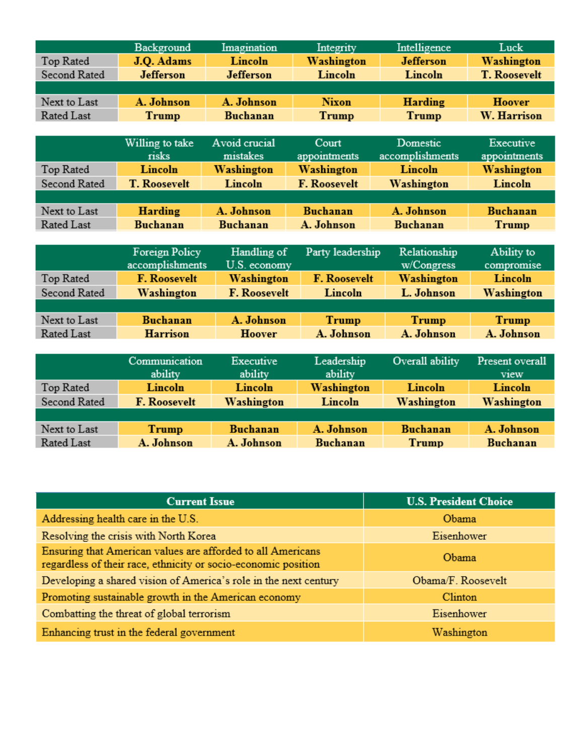|               | Background          | Imagination         | Integrity           | Intelligence     | Luck                |  |  |  |  |
|---------------|---------------------|---------------------|---------------------|------------------|---------------------|--|--|--|--|
| Top Rated     | J.Q. Adams          | Lincoln             | Washington          | <b>Jefferson</b> | Washington          |  |  |  |  |
| Second Rated  | <b>Jefferson</b>    | <b>Jefferson</b>    | Lincoln             | Lincoln          | <b>T. Roosevelt</b> |  |  |  |  |
|               |                     |                     |                     |                  |                     |  |  |  |  |
| Next to Last  | A. Johnson          | A. Johnson          | <b>Nixon</b>        | <b>Harding</b>   | <b>Hoover</b>       |  |  |  |  |
| Rated Last    | Trump               | <b>Buchanan</b>     | <b>Trump</b>        | <b>Trump</b>     | <b>W. Harrison</b>  |  |  |  |  |
|               |                     |                     |                     |                  |                     |  |  |  |  |
|               | Willing to take     | Avoid crucial       | Court               | Domestic         | Executive           |  |  |  |  |
|               | risks               | mistakes            | appointments        | accomplishments  | appointments        |  |  |  |  |
| Top Rated     | Lincoln             | Washington          | Washington          | Lincoln          | Washington          |  |  |  |  |
| Second Rated  | <b>T. Roosevelt</b> | Lincoln             | <b>F. Roosevelt</b> | Washington       | Lincoln             |  |  |  |  |
|               |                     |                     |                     |                  |                     |  |  |  |  |
| Next to Last  | <b>Harding</b>      | A. Johnson          | <b>Buchanan</b>     | A. Johnson       | <b>Buchanan</b>     |  |  |  |  |
| Rated Last    | <b>Buchanan</b>     | <b>Buchanan</b>     | A. Johnson          | <b>Buchanan</b>  | <b>Trump</b>        |  |  |  |  |
|               |                     |                     |                     |                  |                     |  |  |  |  |
|               | Foreign Policy      | Handling of         | Party leadership    | Relationship     | Ability to          |  |  |  |  |
|               | accomplishments     | U.S. economy        |                     | w/Congress       | compromise          |  |  |  |  |
| Top Rated     | <b>F. Roosevelt</b> | Washington          | <b>F. Roosevelt</b> | Washington       | Lincoln             |  |  |  |  |
| Second Rated  | Washington          | <b>F. Roosevelt</b> | Lincoln             | L. Johnson       | Washington          |  |  |  |  |
|               |                     |                     |                     |                  |                     |  |  |  |  |
| Next to Last  | <b>Buchanan</b>     | A. Johnson          | <b>Trump</b>        | <b>Trump</b>     | Trump               |  |  |  |  |
| Rated Last    | <b>Harrison</b>     |                     | A. Johnson          | A. Johnson       | A. Johnson          |  |  |  |  |
|               |                     |                     |                     |                  |                     |  |  |  |  |
| Communication |                     | Executive           | Leadership          | Overall ability  | Present overall     |  |  |  |  |
|               | ability             | ability             | ability             |                  | view                |  |  |  |  |
| Top Rated     | Lincoln             | Lincoln             | Washington          | Lincoln          | Lincoln             |  |  |  |  |
| Second Rated  | F. Roosevelt        | Washington          | Lincoln             | Washington       | Washington          |  |  |  |  |
|               |                     |                     |                     |                  |                     |  |  |  |  |
| Next to Last  | <b>Trump</b>        | <b>Buchanan</b>     | A. Johnson          | <b>Buchanan</b>  | A. Johnson          |  |  |  |  |
| Rated Last    | A. Johnson          | A. Johnson          | <b>Buchanan</b>     | <b>Trump</b>     | Buchanan            |  |  |  |  |

| <b>Current Issue</b>                                                                                                          | <b>U.S. President Choice</b> |  |  |  |
|-------------------------------------------------------------------------------------------------------------------------------|------------------------------|--|--|--|
| Addressing health care in the U.S.                                                                                            | Obama                        |  |  |  |
| Resolving the crisis with North Korea                                                                                         | Eisenhower                   |  |  |  |
| Ensuring that American values are afforded to all Americans<br>regardless of their race, ethnicity or socio-economic position | Obama                        |  |  |  |
| Developing a shared vision of America's role in the next century                                                              | Obama/F. Roosevelt           |  |  |  |
| Promoting sustainable growth in the American economy                                                                          | Clinton                      |  |  |  |
| Combatting the threat of global terrorism                                                                                     | Eisenhower                   |  |  |  |
| Enhancing trust in the federal government                                                                                     | Washington                   |  |  |  |